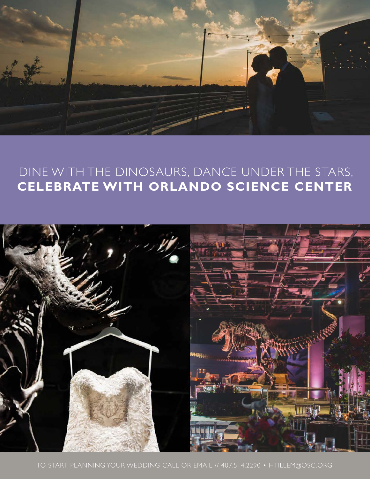

# DINE WITH THE DINOSAURS, DANCE UNDER THE STARS, **CELEBRATE WITH ORLANDO SCIENCE CENTER**

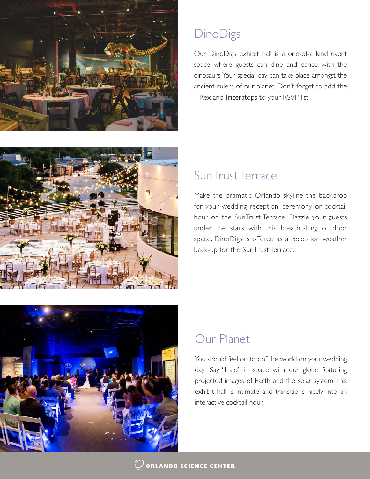

# **DinoDigs**

Our DinoDigs exhibit hall is a one-of-a kind event space where guests can dine and dance with the dinosaurs.Your special day can take place amongst the ancient rulers of our planet. Don't forget to add the T-Rex and Triceratops to your RSVP list!



# SunTrust Terrace

Make the dramatic Orlando skyline the backdrop for your wedding reception, ceremony or cocktail hour on the SunTrust Terrace. Dazzle your guests under the stars with this breathtaking outdoor space. DinoDigs is offered as a reception weather back-up for the SunTrust Terrace.



# Our Planet

You should feel on top of the world on your wedding day! Say "I do" in space with our globe featuring projected images of Earth and the solar system. This exhibit hall is intimate and transitions nicely into an interactive cocktail hour.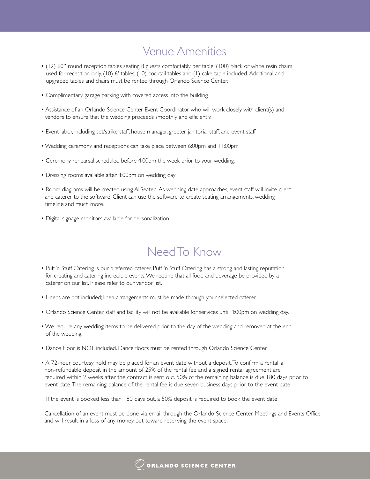# Venue Amenities

- (12) 60'' round reception tables seating 8 guests comfortably per table, (100) black or white resin chairs used for reception only, (10) 6' tables, (10) cocktail tables and (1) cake table included. Additional and upgraded tables and chairs must be rented through Orlando Science Center.
- Complimentary garage parking with covered access into the building
- Assistance of an Orlando Science Center Event Coordinator who will work closely with client(s) and vendors to ensure that the wedding proceeds smoothly and efficiently.
- Event labor, including set/strike staff, house manager, greeter, janitorial staff, and event staff
- Wedding ceremony and receptions can take place between 6:00pm and 11:00pm
- Ceremony rehearsal scheduled before 4:00pm the week prior to your wedding.
- Dressing rooms available after 4:00pm on wedding day
- Room diagrams will be created using AllSeated. As wedding date approaches, event staff will invite client and caterer to the software. Client can use the software to create seating arrangements, wedding timeline and much more.
- Digital signage monitors available for personalization.

# Need To Know

- Puff 'n Stuff Catering is our preferred caterer. Puff 'n Stuff Catering has a strong and lasting reputation for creating and catering incredible events. We require that all food and beverage be provided by a caterer on our list. Please refer to our vendor list.
- Linens are not included; linen arrangements must be made through your selected caterer.
- Orlando Science Center staff and facility will not be available for services until 4:00pm on wedding day.
- We require any wedding items to be delivered prior to the day of the wedding and removed at the end of the wedding.
- Dance Floor is NOT included. Dance floors must be rented through Orlando Science Center.
- A 72-hour courtesy hold may be placed for an event date without a deposit. To confirm a rental, a non-refundable deposit in the amount of 25% of the rental fee and a signed rental agreement are required within 2 weeks after the contract is sent out. 50% of the remaining balance is due 180 days prior to event date. The remaining balance of the rental fee is due seven business days prior to the event date.

If the event is booked less than 180 days out, a 50% deposit is required to book the event date.

 Cancellation of an event must be done via email through the Orlando Science Center Meetings and Events Office and will result in a loss of any money put toward reserving the event space.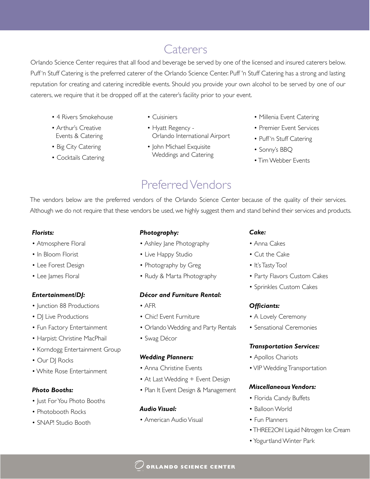# **Caterers**

Orlando Science Center requires that all food and beverage be served by one of the licensed and insured caterers below. Puff 'n Stuff Catering is the preferred caterer of the Orlando Science Center. Puff 'n Stuff Catering has a strong and lasting reputation for creating and catering incredible events. Should you provide your own alcohol to be served by one of our caterers, we require that it be dropped off at the caterer's facility prior to your event.

- 4 Rivers Smokehouse
- Arthur's Creative Events & Catering
- Big City Catering
- Cocktails Catering
- Cuisiniers
- Hyatt Regency Orlando International Airport
- John Michael Exquisite Weddings and Catering
- Millenia Event Catering
- Premier Event Services
- Puff'n Stuff Catering
- Sonny's BBQ
- Tim Webber Events

# Preferred Vendors

The vendors below are the preferred vendors of the Orlando Science Center because of the quality of their services. Although we do not require that these vendors be used, we highly suggest them and stand behind their services and products.

## *Florists:*

- Atmosphere Floral
- In Bloom Florist
- Lee Forest Design
- Lee James Floral

## *Entertainment/DJ:*

- Junction 88 Productions
- DJ Live Productions
- Fun Factory Entertainment
- Harpist: Christine MacPhail
- Korndogg Entertainment Group
- Our DJ Rocks
- White Rose Entertainment

## *Photo Booths:*

- Just For You Photo Booths
- Photobooth Rocks
- SNAP! Studio Booth

## *Photography:*

- Ashley Jane Photography
- Live Happy Studio
- Photography by Greg
- Rudy & Marta Photography

## *Décor and Furniture Rental:*

- AFR
- Chic! Event Furniture
- Orlando Wedding and Party Rentals
- Swag Décor

## *Wedding Planners:*

- Anna Christine Events
- At Last Wedding + Event Design
- Plan It Event Design & Management

## *Audio Visual:*

• American Audio Visual

#### *Cake:*

- Anna Cakes
- Cut the Cake
- It's Tasty Too!
- Party Flavors Custom Cakes
- Sprinkles Custom Cakes

## *Officiants:*

- A Lovely Ceremony
- Sensational Ceremonies

## *Transportation Services:*

- Apollos Chariots
- VIP Wedding Transportation

### *Miscellaneous Vendors:*

- Florida Candy Buffets
- Balloon World
- Fun Planners
- THREE2Oh! Liquid Nitrogen Ice Cream
- Yogurtland Winter Park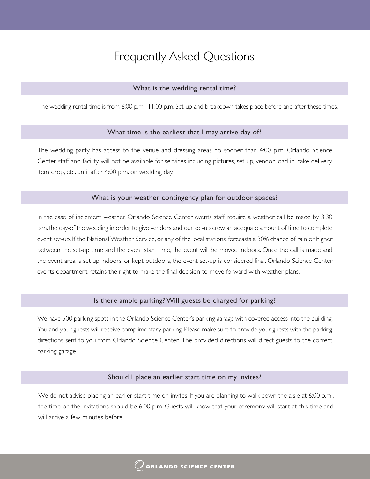#### What is the wedding rental time?

The wedding rental time is from 6:00 p.m. -11:00 p.m. Set-up and breakdown takes place before and after these times.

#### What time is the earliest that I may arrive day of?

The wedding party has access to the venue and dressing areas no sooner than 4:00 p.m. Orlando Science Center staff and facility will not be available for services including pictures, set up, vendor load in, cake delivery, item drop, etc. until after 4:00 p.m. on wedding day.

#### What is your weather contingency plan for outdoor spaces?

In the case of inclement weather, Orlando Science Center events staff require a weather call be made by 3:30 p.m. the day-of the wedding in order to give vendors and our set-up crew an adequate amount of time to complete event set-up. If the National Weather Service, or any of the local stations, forecasts a 30% chance of rain or higher between the set-up time and the event start time, the event will be moved indoors. Once the call is made and the event area is set up indoors, or kept outdoors, the event set-up is considered final. Orlando Science Center events department retains the right to make the final decision to move forward with weather plans.

#### Is there ample parking? Will guests be charged for parking?

We have 500 parking spots in the Orlando Science Center's parking garage with covered access into the building. You and your guests will receive complimentary parking. Please make sure to provide your guests with the parking directions sent to you from Orlando Science Center. The provided directions will direct guests to the correct parking garage.

#### Should I place an earlier start time on my invites?

We do not advise placing an earlier start time on invites. If you are planning to walk down the aisle at 6:00 p.m., the time on the invitations should be 6:00 p.m. Guests will know that your ceremony will start at this time and will arrive a few minutes before.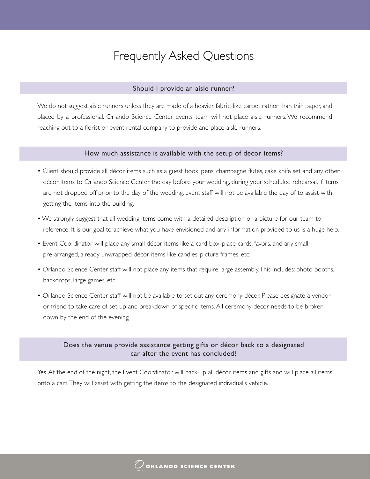#### Should I provide an aisle runner?

We do not suggest aisle runners unless they are made of a heavier fabric, like carpet rather than thin paper, and placed by a professional. Orlando Science Center events team will not place aisle runners. We recommend reaching out to a florist or event rental company to provide and place aisle runners.

#### How much assistance is available with the setup of décor items?

- Client should provide all décor items such as a guest book, pens, champagne flutes, cake knife set and any other décor items to Orlando Science Center the day before your wedding, during your scheduled rehearsal. If items are not dropped off prior to the day of the wedding, event staff will not be available the day of to assist with getting the items into the building.
- We strongly suggest that all wedding items come with a detailed description or a picture for our team to reference. It is our goal to achieve what you have envisioned and any information provided to us is a huge help.
- Event Coordinator will place any small décor items like a card box, place cards, favors, and any small pre-arranged, already unwrapped décor items like candles, picture frames, etc.
- Orlando Science Center staff will not place any items that require large assembly. This includes: photo booths, backdrops, large games, etc.
- Orlando Science Center staff will not be available to set out any ceremony décor. Please designate a vendor or friend to take care of set-up and breakdown of specific items. All ceremony decor needs to be broken down by the end of the evening.

## Does the venue provide assistance getting gifts or décor back to a designated car after the event has concluded?

Yes. At the end of the night, the Event Coordinator will pack-up all décor items and gifts and will place all items onto a cart. They will assist with getting the items to the designated individual's vehicle.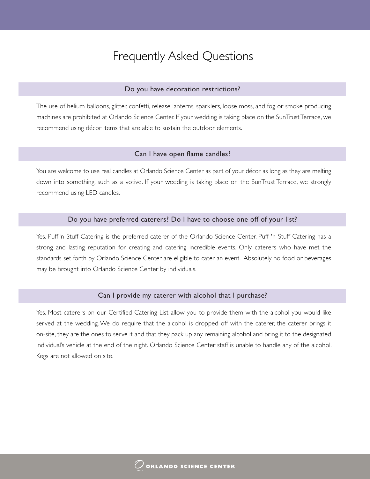#### Do you have decoration restrictions?

The use of helium balloons, glitter, confetti, release lanterns, sparklers, loose moss, and fog or smoke producing machines are prohibited at Orlando Science Center. If your wedding is taking place on the SunTrust Terrace, we recommend using décor items that are able to sustain the outdoor elements.

#### Can I have open flame candles?

You are welcome to use real candles at Orlando Science Center as part of your décor as long as they are melting down into something, such as a votive. If your wedding is taking place on the SunTrust Terrace, we strongly recommend using LED candles.

#### Do you have preferred caterers? Do I have to choose one off of your list?

Yes. Puff 'n Stuff Catering is the preferred caterer of the Orlando Science Center. Puff 'n Stuff Catering has a strong and lasting reputation for creating and catering incredible events. Only caterers who have met the standards set forth by Orlando Science Center are eligible to cater an event. Absolutely no food or beverages may be brought into Orlando Science Center by individuals.

#### Can I provide my caterer with alcohol that I purchase?

Yes. Most caterers on our Certified Catering List allow you to provide them with the alcohol you would like served at the wedding. We do require that the alcohol is dropped off with the caterer, the caterer brings it on-site, they are the ones to serve it and that they pack up any remaining alcohol and bring it to the designated individual's vehicle at the end of the night. Orlando Science Center staff is unable to handle any of the alcohol. Kegs are not allowed on site.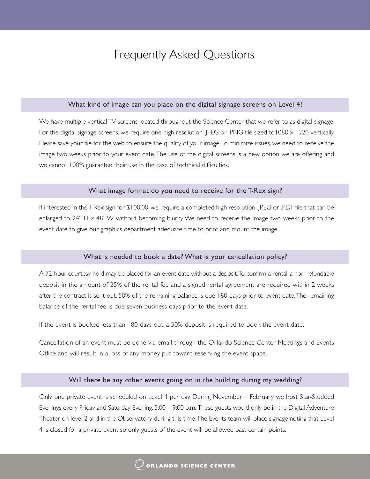#### What kind of image can you place on the digital signage screens on Level 4?

We have multiple vertical TV screens located throughout the Science Center that we refer to as digital signage. For the digital signage screens, we require one high resolution .JPEG or .PNG file sized to1080 x 1920 vertically. Please save your file for the web to ensure the quality of your image. To minimize issues, we need to receive the image two weeks prior to your event date. The use of the digital screens is a new option we are offering and we cannot 100% guarantee their use in the case of technical difficulties.

#### What image format do you need to receive for the T-Rex sign?

If interested in the T-Rex sign for \$100.00, we require a completed high resolution .JPEG or .PDF file that can be enlarged to  $24''$  H  $\times$  48" W without becoming blurry. We need to receive the image two weeks prior to the event date to give our graphics department adequate time to print and mount the image.

#### What is needed to book a date? What is your cancellation policy?

A 72-hour courtesy hold may be placed for an event date without a deposit. To confirm a rental, a non-refundable deposit in the amount of 25% of the rental fee and a signed rental agreement are required within 2 weeks after the contract is sent out. 50% of the remaining balance is due 180 days prior to event date. The remaining balance of the rental fee is due seven business days prior to the event date.

If the event is booked less than 180 days out, a 50% deposit is required to book the event date.

Cancellation of an event must be done via email through the Orlando Science Center Meetings and Events Office and will result in a loss of any money put toward reserving the event space.

#### Will there be any other events going on in the building during my wedding?

Only one private event is scheduled on Level 4 per day. During November – February we host Star-Studded Evenings every Friday and Saturday Evening, 5:00 – 9:00 p.m. These guests would only be in the Digital Adventure Theater on level 2 and in the Observatory during this time. The Events team will place signage noting that Level 4 is closed for a private event so only guests of the event will be allowed past certain points.